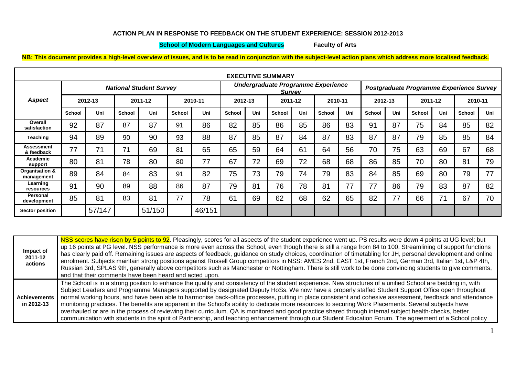## **ACTION PLAN IN RESPONSE TO FEEDBACK ON THE STUDENT EXPERIENCE: SESSION 2012-2013**

## **School of Modern Languages and Cultures Faculty of Arts**

## **NB: This document provides a high-level overview of issues, and is to be read in conjunction with the subject-level action plans which address more localised feedback.**

| <b>EXECUTIVE SUMMARY</b>        |                                |        |               |        |               |                                                     |               |     |               |     |                                          |     |               |     |               |     |               |     |
|---------------------------------|--------------------------------|--------|---------------|--------|---------------|-----------------------------------------------------|---------------|-----|---------------|-----|------------------------------------------|-----|---------------|-----|---------------|-----|---------------|-----|
|                                 | <b>National Student Survey</b> |        |               |        |               | Undergraduate Programme Experience<br><b>Survey</b> |               |     |               |     | Postgraduate Programme Experience Survey |     |               |     |               |     |               |     |
| Aspect                          | 2012-13                        |        | 2011-12       |        |               | 2010-11                                             | 2012-13       |     | 2011-12       |     | 2010-11                                  |     | 2012-13       |     | 2011-12       |     | 2010-11       |     |
|                                 | <b>School</b>                  | Uni    | <b>School</b> | Uni    | <b>School</b> | Uni                                                 | <b>School</b> | Uni | <b>School</b> | Uni | <b>School</b>                            | Uni | <b>School</b> | Uni | <b>School</b> | Uni | <b>School</b> | Uni |
| Overall<br>satisfaction         | 92                             | 87     | 87            | 87     | 91            | 86                                                  | 82            | 85  | 86            | 85  | 86                                       | 83  | 91            | 87  | 75            | 84  | 85            | 82  |
| <b>Teaching</b>                 | 94                             | 89     | 90            | 90     | 93            | 88                                                  | 87            | 85  | 87            | 84  | 87                                       | 83  | 87            | 87  | 79            | 85  | 85            | 84  |
| <b>Assessment</b><br>& feedback | 77                             | 71     | 71            | 69     | 81            | 65                                                  | 65            | 59  | 64            | 61  | 64                                       | 56  | 70            | 75  | 63            | 69  | 67            | 68  |
| Academic<br>support             | 80                             | 81     | 78            | 80     | 80            | 77                                                  | 67            | 72  | 69            | 72  | 68                                       | 68  | 86            | 85  | 70            | 80  | 81            | 79  |
| Organisation &<br>management    | 89                             | 84     | 84            | 83     | 91            | 82                                                  | 75            | 73  | 79            | 74  | 79                                       | 83  | 84            | 85  | 69            | 80  | 79            | 77  |
| Learning<br>resources           | 91                             | 90     | 89            | 88     | 86            | 87                                                  | 79            | 81  | 76            | 78  | 81                                       | 77  | 77            | 86  | 79            | 83  | 87            | 82  |
| Personal<br>development         | 85                             | 81     | 83            | 81     | 77            | 78                                                  | 61            | 69  | 62            | 68  | 62                                       | 65  | 82            | 77  | 66            | 71  | 67            | 70  |
| Sector position                 |                                | 57/147 |               | 51/150 |               | 46/151                                              |               |     |               |     |                                          |     |               |     |               |     |               |     |

| Impact of<br>2011-12<br>actions   | NSS scores have risen by 5 points to 92. Pleasingly, scores for all aspects of the student experience went up. PS results were down 4 points at UG level; but<br>up 16 points at PG level. NSS performance is more even across the School, even though there is still a range from 84 to 100. Streamlining of support functions<br>has clearly paid off. Remaining issues are aspects of feedback, guidance on study choices, coordination of timetabling for JH, personal development and online<br>enrolment. Subjects maintain strong positions against Russell Group competitors in NSS: AMES 2nd, EAST 1st, French 2nd, German 3rd, Italian 1st, L&P 4th,<br>Russian 3rd, SPLAS 9th, generally above competitors such as Manchester or Nottingham. There is still work to be done convincing students to give comments,<br>and that their comments have been heard and acted upon.                                                                        |
|-----------------------------------|----------------------------------------------------------------------------------------------------------------------------------------------------------------------------------------------------------------------------------------------------------------------------------------------------------------------------------------------------------------------------------------------------------------------------------------------------------------------------------------------------------------------------------------------------------------------------------------------------------------------------------------------------------------------------------------------------------------------------------------------------------------------------------------------------------------------------------------------------------------------------------------------------------------------------------------------------------------|
| <b>Achievements</b><br>in 2012-13 | The School is in a strong position to enhance the quality and consistency of the student experience. New structures of a unified School are bedding in, with<br>Subject Leaders and Programme Managers supported by designated Deputy HoSs. We now have a properly staffed Student Support Office open throughout<br>normal working hours, and have been able to harmonise back-office processes, putting in place consistent and cohesive assessment, feedback and attendance<br>monitoring practices. The benefits are apparent in the School's ability to dedicate more resources to securing Work Placements. Several subjects have<br>overhauled or are in the process of reviewing their curriculum. QA is monitored and good practice shared through internal subject health-checks, better<br>communication with students in the spirit of Partnership, and teaching enhancement through our Student Education Forum. The agreement of a School policy |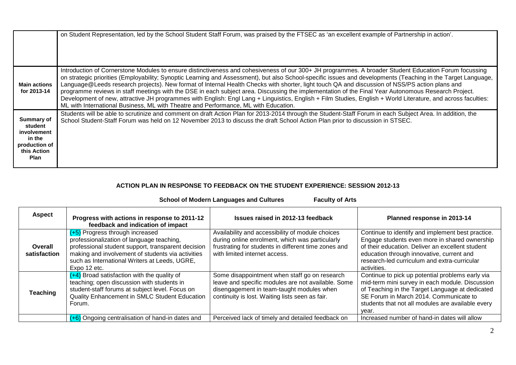|                                                                                               | on Student Representation, led by the School Student Staff Forum, was praised by the FTSEC as 'an excellent example of Partnership in action'.                                                                                                                                                                                                                                                                                                                                                                                                                                                                                                                                                                                                                                                                                                                                          |
|-----------------------------------------------------------------------------------------------|-----------------------------------------------------------------------------------------------------------------------------------------------------------------------------------------------------------------------------------------------------------------------------------------------------------------------------------------------------------------------------------------------------------------------------------------------------------------------------------------------------------------------------------------------------------------------------------------------------------------------------------------------------------------------------------------------------------------------------------------------------------------------------------------------------------------------------------------------------------------------------------------|
| <b>Main actions</b><br>for 2013-14                                                            | Introduction of Cornerstone Modules to ensure distinctiveness and cohesiveness of our 300+ JH programmes. A broader Student Education Forum focussing<br>on strategic priorities (Employability; Synoptic Learning and Assessment), but also School-specific issues and developments (Teaching in the Target Language,<br>Language@Leeds research projects). New format of Internal Health Checks with shorter, light touch QA and discussion of NSS/PS action plans and<br>programme reviews in staff meetings with the DSE in each subject area. Discussing the implementation of the Final Year Autonomous Research Project.<br>Development of new, attractive JH programmes with English: Engl Lang + Linguistics, English + Film Studies, English + World Literature, and across faculties:<br>ML with International Business, ML with Theatre and Performance, ML with Education. |
| <b>Summary of</b><br>student<br>involvement<br>in the<br>production of<br>this Action<br>Plan | Students will be able to scrutinize and comment on draft Action Plan for 2013-2014 through the Student-Staff Forum in each Subject Area. In addition, the<br>School Student-Staff Forum was held on 12 November 2013 to discuss the draft School Action Plan prior to discussion in STSEC.                                                                                                                                                                                                                                                                                                                                                                                                                                                                                                                                                                                              |

## **ACTION PLAN IN RESPONSE TO FEEDBACK ON THE STUDENT EXPERIENCE: SESSION 2012-13**

**School of Modern Languages and Cultures Faculty of Arts**

| <b>Aspect</b>           | Progress with actions in response to 2011-12<br>feedback and indication of impact                                                                                                                                                                          | Issues raised in 2012-13 feedback                                                                                                                                                                   | Planned response in 2013-14                                                                                                                                                                                                                                        |
|-------------------------|------------------------------------------------------------------------------------------------------------------------------------------------------------------------------------------------------------------------------------------------------------|-----------------------------------------------------------------------------------------------------------------------------------------------------------------------------------------------------|--------------------------------------------------------------------------------------------------------------------------------------------------------------------------------------------------------------------------------------------------------------------|
| Overall<br>satisfaction | $(+5)$ Progress through increased<br>professionalization of language teaching,<br>professional student support, transparent decision<br>making and involvement of students via activities<br>such as International Writers at Leeds, UGRE,<br>Expo 12 etc. | Availability and accessibility of module choices<br>during online enrolment, which was particularly<br>frustrating for students in different time zones and<br>with limited internet access.        | Continue to identify and implement best practice.<br>Engage students even more in shared ownership<br>of their education. Deliver an excellent student<br>education through innovative, current and<br>research-led curriculum and extra-curricular<br>activities. |
| <b>Teaching</b>         | $(+4)$ Broad satisfaction with the quality of<br>teaching; open discussion with students in<br>student-staff forums at subject level. Focus on<br>Quality Enhancement in SMLC Student Education<br>Forum.                                                  | Some disappointment when staff go on research<br>leave and specific modules are not available. Some<br>disengagement in team-taught modules when<br>continuity is lost. Waiting lists seen as fair. | Continue to pick up potential problems early via<br>mid-term mini survey in each module. Discussion<br>of Teaching in the Target Language at dedicated<br>SE Forum in March 2014. Communicate to<br>students that not all modules are available every<br>year.     |
|                         | $(+6)$ Ongoing centralisation of hand-in dates and                                                                                                                                                                                                         | Perceived lack of timely and detailed feedback on                                                                                                                                                   | Increased number of hand-in dates will allow                                                                                                                                                                                                                       |